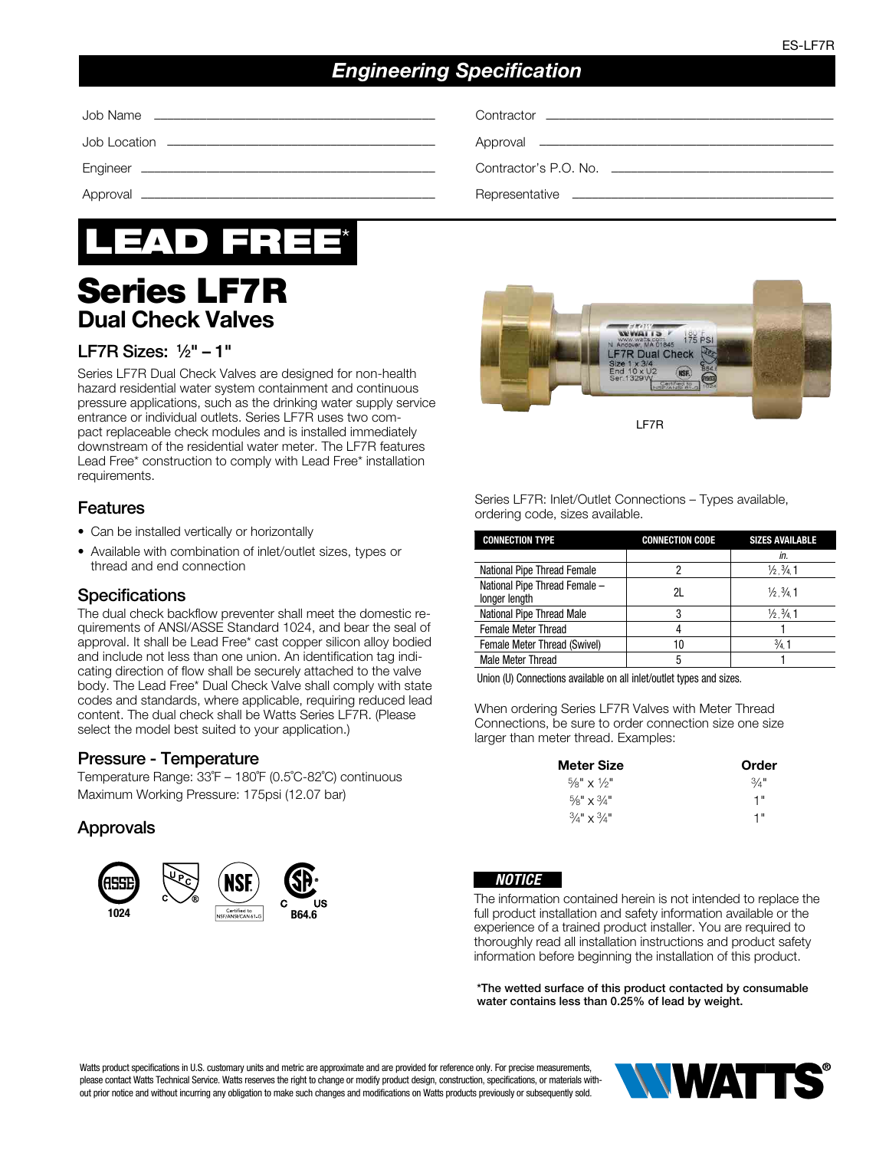# *Engineering Specification*

Job Location ––––––––––––––––––––––––––––––––––––––––– Approval –––––––––––––––––––––––––––––––––––––––––––––



# Series LF7R Dual Check Valves

# LF7R Sizes:  $1/2" - 1"$

Series LF7R Dual Check Valves are designed for non-health hazard residential water system containment and continuous pressure applications, such as the drinking water supply service entrance or individual outlets. Series LF7R uses two compact replaceable check modules and is installed immediately downstream of the residential water meter. The LF7R features Lead Free\* construction to comply with Lead Free\* installation requirements.

#### Features

- Can be installed vertically or horizontally
- Available with combination of inlet/outlet sizes, types or thread and end connection

#### **Specifications**

The dual check backflow preventer shall meet the domestic requirements of ANSI/ASSE Standard 1024, and bear the seal of approval. It shall be Lead Free\* cast copper silicon alloy bodied and include not less than one union. An identification tag indicating direction of flow shall be securely attached to the valve body. The Lead Free\* Dual Check Valve shall comply with state codes and standards, where applicable, requiring reduced lead content. The dual check shall be Watts Series LF7R. (Please select the model best suited to your application.)

# Pressure - Temperature

Temperature Range: 33˚F – 180˚F (0.5˚C-82˚C) continuous Maximum Working Pressure: 175psi (12.07 bar)

# Approvals



Job Name ––––––––––––––––––––––––––––––––––––––––––– Contractor ––––––––––––––––––––––––––––––––––––––––––––

Engineer ––––––––––––––––––––––––––––––––––––––––––––– Contractor's P.O. No. ––––––––––––––––––––––––––––––––––

Approval ––––––––––––––––––––––––––––––––––––––––––––– Representative ––––––––––––––––––––––––––––––––––––––––



Series LF7R: Inlet/Outlet Connections – Types available, ordering code, sizes available.

| <b>CONNECTION TYPE</b>                         | <b>CONNECTION CODE</b> | <b>SIZES AVAILABLE</b>            |  |  |
|------------------------------------------------|------------------------|-----------------------------------|--|--|
|                                                |                        | in.                               |  |  |
| National Pipe Thread Female                    |                        | $\frac{1}{2}$ , $\frac{3}{4}$ , 1 |  |  |
| National Pipe Thread Female -<br>longer length | 21                     | $\frac{1}{2}$ , $\frac{3}{4}$ , 1 |  |  |
| National Pipe Thread Male                      | 3                      | $\frac{1}{2}$ , $\frac{3}{4}$ , 1 |  |  |
| Female Meter Thread                            |                        |                                   |  |  |
| Female Meter Thread (Swivel)                   | 10                     | $\frac{3}{4}$ 1                   |  |  |
| <b>Male Meter Thread</b>                       | 5                      |                                   |  |  |

Union (U) Connections available on all inlet/outlet types and sizes.

When ordering Series LF7R Valves with Meter Thread Connections, be sure to order connection size one size larger than meter thread. Examples:

| <b>Meter Size</b>                 | Order |  |  |
|-----------------------------------|-------|--|--|
| $\frac{5}{8}$ " x $\frac{1}{2}$ " | 3/4'' |  |  |
| $\frac{5}{8}$ " x $\frac{3}{4}$ " | 1"    |  |  |
| $3/4$ " x $3/4$ "                 | 1"    |  |  |



The information contained herein is not intended to replace the full product installation and safety information available or the experience of a trained product installer. You are required to thoroughly read all installation instructions and product safety information before beginning the installation of this product.

\*The wetted surface of this product contacted by consumable water contains less than 0.25% of lead by weight.

Watts product specifications in U.S. customary units and metric are approximate and are provided for reference only. For precise measurements, please contact Watts Technical Service. Watts reserves the right to change or modify product design, construction, specifications, or materials without prior notice and without incurring any obligation to make such changes and modifications on Watts products previously or subsequently sold.